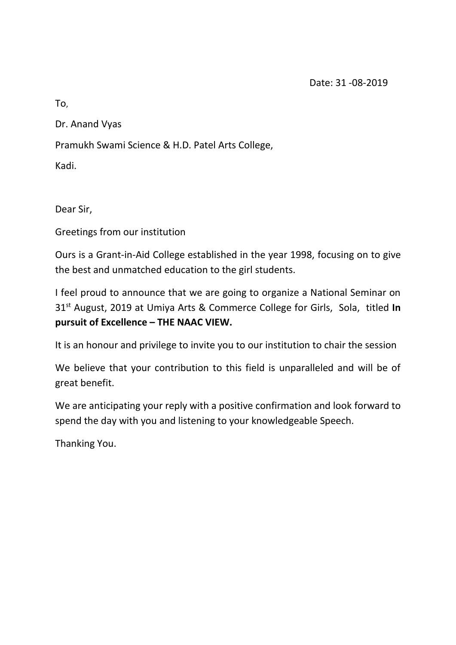Date: 31 -08-2019

To,

Dr. Anand Vyas

Pramukh Swami Science & H.D. Patel Arts College,

Kadi.

Dear Sir,

Greetings from our institution

Ours is a Grant-in-Aid College established in the year 1998, focusing on to give the best and unmatched education to the girl students.

I feel proud to announce that we are going to organize a National Seminar on 31st August, 2019 at Umiya Arts & Commerce College for Girls, Sola, titled **In pursuit of Excellence – THE NAAC VIEW.**

It is an honour and privilege to invite you to our institution to chair the session

We believe that your contribution to this field is unparalleled and will be of great benefit.

We are anticipating your reply with a positive confirmation and look forward to spend the day with you and listening to your knowledgeable Speech.

Thanking You.